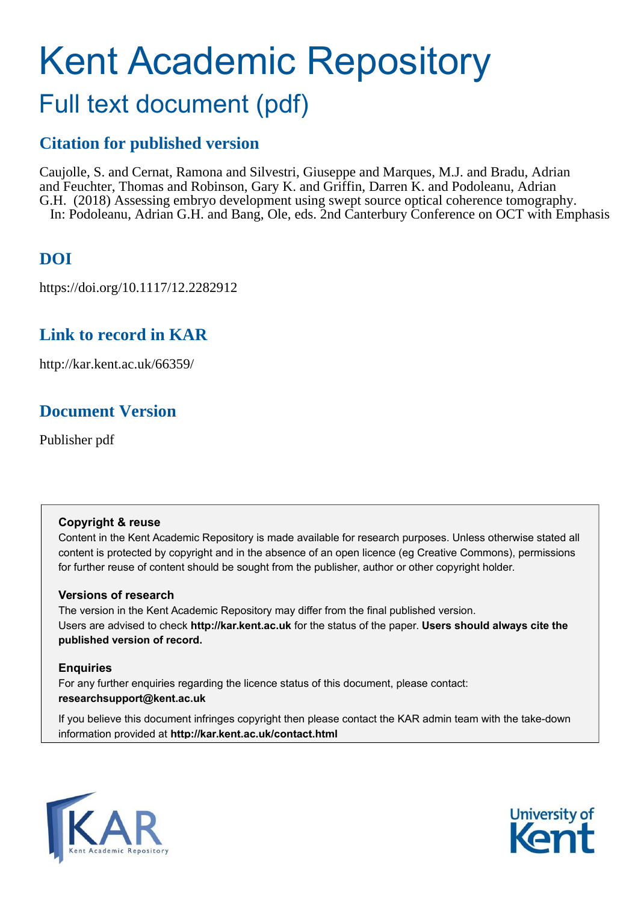# Kent Academic Repository Full text document (pdf)

### **Citation for published version**

Caujolle, S. and Cernat, Ramona and Silvestri, Giuseppe and Marques, M.J. and Bradu, Adrian and Feuchter, Thomas and Robinson, Gary K. and Griffin, Darren K. and Podoleanu, Adrian G.H. (2018) Assessing embryo development using swept source optical coherence tomography. In: Podoleanu, Adrian G.H. and Bang, Ole, eds. 2nd Canterbury Conference on OCT with Emphasis

# **DOI**

https://doi.org/10.1117/12.2282912

### **Link to record in KAR**

http://kar.kent.ac.uk/66359/

## **Document Version**

Publisher pdf

### **Copyright & reuse**

Content in the Kent Academic Repository is made available for research purposes. Unless otherwise stated all content is protected by copyright and in the absence of an open licence (eg Creative Commons), permissions for further reuse of content should be sought from the publisher, author or other copyright holder.

### **Versions of research**

The version in the Kent Academic Repository may differ from the final published version. Users are advised to check **http://kar.kent.ac.uk** for the status of the paper. **Users should always cite the published version of record.**

### **Enquiries**

For any further enquiries regarding the licence status of this document, please contact: **researchsupport@kent.ac.uk**

If you believe this document infringes copyright then please contact the KAR admin team with the take-down information provided at **http://kar.kent.ac.uk/contact.html**



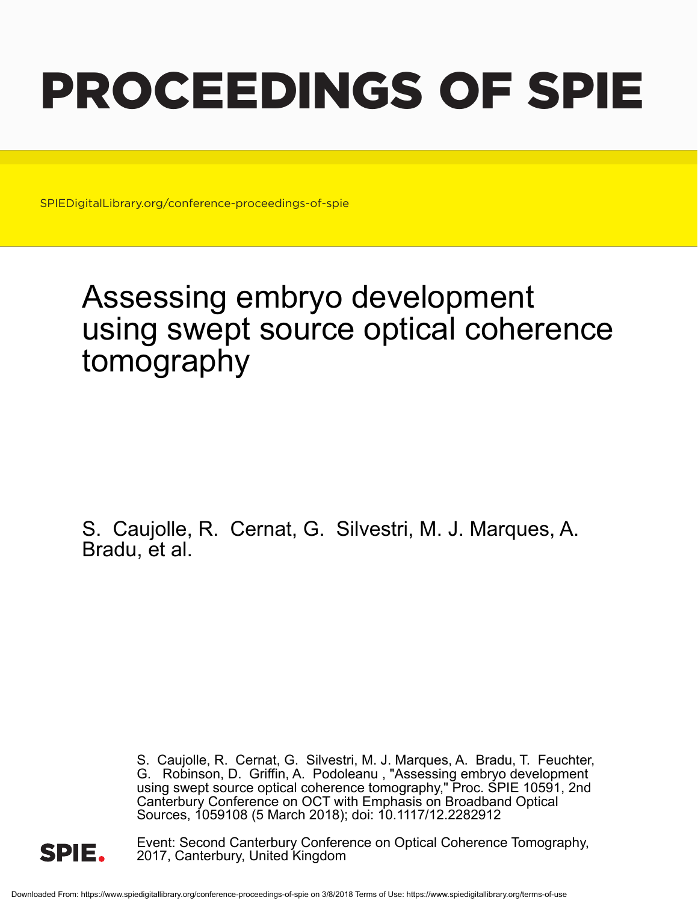# PROCEEDINGS OF SPIE

SPIEDigitalLibrary.org/conference-proceedings-of-spie

# Assessing embryo development using swept source optical coherence tomography

S. Caujolle, R. Cernat, G. Silvestri, M. J. Marques, A. Bradu, et al.

> S. Caujolle, R. Cernat, G. Silvestri, M. J. Marques, A. Bradu, T. Feuchter, G. Robinson, D. Griffin, A. Podoleanu , "Assessing embryo development using swept source optical coherence tomography," Proc. SPIE 10591, 2nd Canterbury Conference on OCT with Emphasis on Broadband Optical Sources, 1059108 (5 March 2018); doi: 10.1117/12.2282912



Event: Second Canterbury Conference on Optical Coherence Tomography, 2017, Canterbury, United Kingdom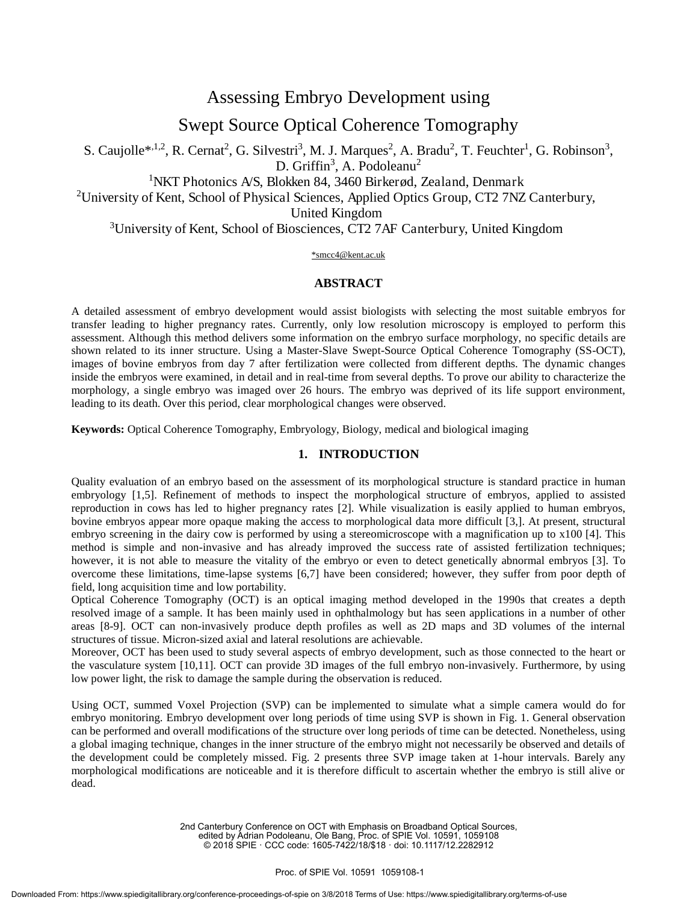Assessing Embryo Development using

Swept Source Optical Coherence Tomography

S. Caujolle<sup>\*,1,2</sup>, R. Cernat<sup>2</sup>, G. Silvestri<sup>3</sup>, M. J. Marques<sup>2</sup>, A. Bradu<sup>2</sup>, T. Feuchter<sup>1</sup>, G. Robinson<sup>3</sup>, D. Griffin<sup>3</sup>, A. Podoleanu<sup>2</sup>

<sup>1</sup>NKT Photonics A/S, Blokken 84, 3460 Birkerød, Zealand, Denmark

<sup>2</sup>University of Kent, School of Physical Sciences, Applied Optics Group, CT2 7NZ Canterbury,

United Kingdom

<sup>3</sup>University of Kent, School of Biosciences, CT2 7AF Canterbury, United Kingdom

#### \*smcc4@kent.ac.uk

### **ABSTRACT**

A detailed assessment of embryo development would assist biologists with selecting the most suitable embryos for transfer leading to higher pregnancy rates. Currently, only low resolution microscopy is employed to perform this assessment. Although this method delivers some information on the embryo surface morphology, no specific details are shown related to its inner structure. Using a Master-Slave Swept-Source Optical Coherence Tomography (SS-OCT), images of bovine embryos from day 7 after fertilization were collected from different depths. The dynamic changes inside the embryos were examined, in detail and in real-time from several depths. To prove our ability to characterize the morphology, a single embryo was imaged over 26 hours. The embryo was deprived of its life support environment, leading to its death. Over this period, clear morphological changes were observed.

**Keywords:** Optical Coherence Tomography, Embryology, Biology, medical and biological imaging

### **1. INTRODUCTION**

Quality evaluation of an embryo based on the assessment of its morphological structure is standard practice in human embryology [1,5]. Refinement of methods to inspect the morphological structure of embryos, applied to assisted reproduction in cows has led to higher pregnancy rates [2]. While visualization is easily applied to human embryos, bovine embryos appear more opaque making the access to morphological data more difficult [3,]. At present, structural embryo screening in the dairy cow is performed by using a stereomicroscope with a magnification up to x100 [4]. This method is simple and non-invasive and has already improved the success rate of assisted fertilization techniques; however, it is not able to measure the vitality of the embryo or even to detect genetically abnormal embryos [3]. To overcome these limitations, time-lapse systems [6,7] have been considered; however, they suffer from poor depth of field, long acquisition time and low portability.

Optical Coherence Tomography (OCT) is an optical imaging method developed in the 1990s that creates a depth resolved image of a sample. It has been mainly used in ophthalmology but has seen applications in a number of other areas [8-9]. OCT can non-invasively produce depth profiles as well as 2D maps and 3D volumes of the internal structures of tissue. Micron-sized axial and lateral resolutions are achievable.

Moreover, OCT has been used to study several aspects of embryo development, such as those connected to the heart or the vasculature system [10,11]. OCT can provide 3D images of the full embryo non-invasively. Furthermore, by using low power light, the risk to damage the sample during the observation is reduced.

Using OCT, summed Voxel Projection (SVP) can be implemented to simulate what a simple camera would do for embryo monitoring. Embryo development over long periods of time using SVP is shown in Fig. 1. General observation can be performed and overall modifications of the structure over long periods of time can be detected. Nonetheless, using a global imaging technique, changes in the inner structure of the embryo might not necessarily be observed and details of the development could be completely missed. Fig. 2 presents three SVP image taken at 1-hour intervals. Barely any morphological modifications are noticeable and it is therefore difficult to ascertain whether the embryo is still alive or dead.

> 2nd Canterbury Conference on OCT with Emphasis on Broadband Optical Sources, edited by Adrian Podoleanu, Ole Bang, Proc. of SPIE Vol. 10591, 1059108 © 2018 SPIE : CCC code: 1605-7422/18/\$18 : doi: 10.1117/12.2282912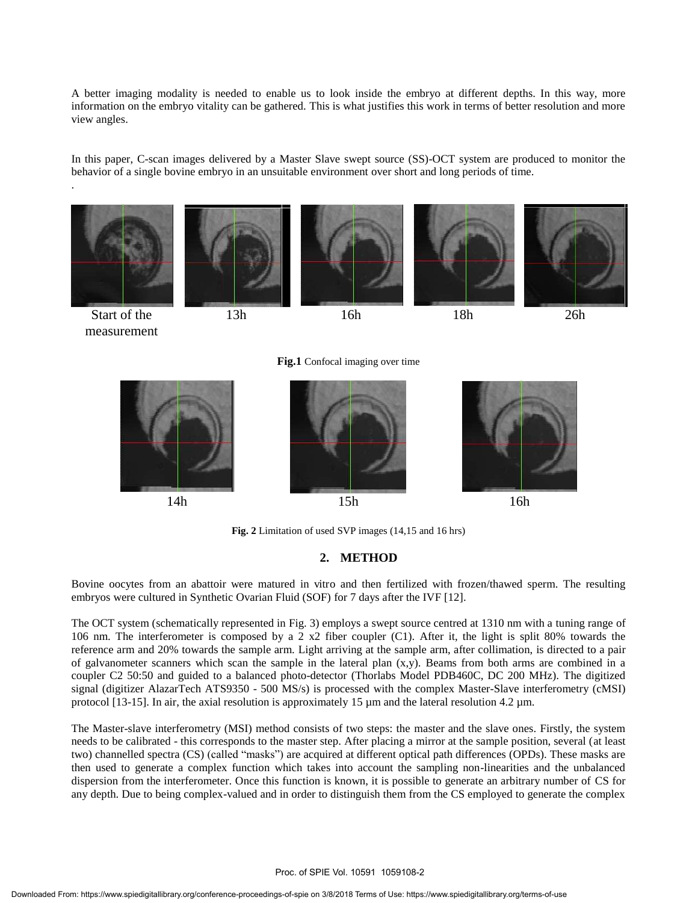A better imaging modality is needed to enable us to look inside the embryo at different depths. In this way, more information on the embryo vitality can be gathered. This is what justifies this work in terms of better resolution and more view angles.

In this paper, C-scan images delivered by a Master Slave swept source (SS)-OCT system are produced to monitor the behavior of a single bovine embryo in an unsuitable environment over short and long periods of time.

.



**Fig. 2** Limitation of used SVP images (14,15 and 16 hrs)

### **2. METHOD**

Bovine oocytes from an abattoir were matured in vitro and then fertilized with frozen/thawed sperm. The resulting embryos were cultured in Synthetic Ovarian Fluid (SOF) for 7 days after the IVF [12].

The OCT system (schematically represented in Fig. 3) employs a swept source centred at 1310 nm with a tuning range of 106 nm. The interferometer is composed by a 2 x2 fiber coupler (C1). After it, the light is split 80% towards the reference arm and 20% towards the sample arm. Light arriving at the sample arm, after collimation, is directed to a pair of galvanometer scanners which scan the sample in the lateral plan  $(x,y)$ . Beams from both arms are combined in a coupler C2 50:50 and guided to a balanced photo-detector (Thorlabs Model PDB460C, DC 200 MHz). The digitized signal (digitizer AlazarTech ATS9350 - 500 MS/s) is processed with the complex Master-Slave interferometry (cMSI) protocol [13-15]. In air, the axial resolution is approximately 15  $\mu$ m and the lateral resolution 4.2  $\mu$ m.

The Master-slave interferometry (MSI) method consists of two steps: the master and the slave ones. Firstly, the system needs to be calibrated - this corresponds to the master step. After placing a mirror at the sample position, several (at least two) channelled spectra (CS) (called "masks") are acquired at different optical path differences (OPDs). These masks are then used to generate a complex function which takes into account the sampling non-linearities and the unbalanced dispersion from the interferometer. Once this function is known, it is possible to generate an arbitrary number of CS for any depth. Due to being complex-valued and in order to distinguish them from the CS employed to generate the complex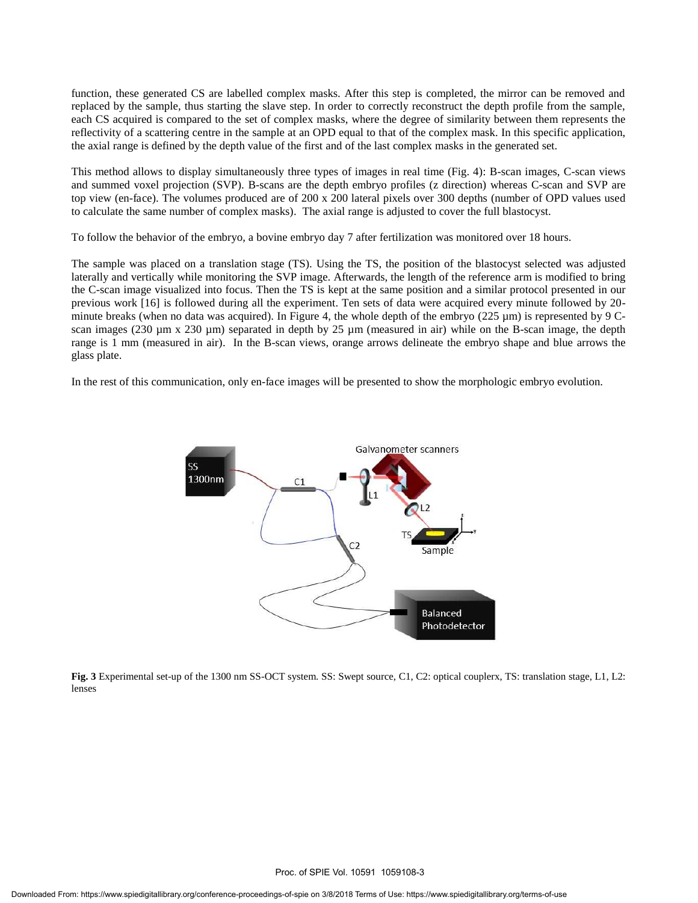function, these generated CS are labelled complex masks. After this step is completed, the mirror can be removed and replaced by the sample, thus starting the slave step. In order to correctly reconstruct the depth profile from the sample, each CS acquired is compared to the set of complex masks, where the degree of similarity between them represents the reflectivity of a scattering centre in the sample at an OPD equal to that of the complex mask. In this specific application, the axial range is defined by the depth value of the first and of the last complex masks in the generated set.

This method allows to display simultaneously three types of images in real time (Fig. 4): B-scan images, C-scan views and summed voxel projection (SVP). B-scans are the depth embryo profiles (z direction) whereas C-scan and SVP are top view (en-face). The volumes produced are of 200 x 200 lateral pixels over 300 depths (number of OPD values used to calculate the same number of complex masks). The axial range is adjusted to cover the full blastocyst.

To follow the behavior of the embryo, a bovine embryo day 7 after fertilization was monitored over 18 hours.

The sample was placed on a translation stage (TS). Using the TS, the position of the blastocyst selected was adjusted laterally and vertically while monitoring the SVP image. Afterwards, the length of the reference arm is modified to bring the C-scan image visualized into focus. Then the TS is kept at the same position and a similar protocol presented in our previous work [16] is followed during all the experiment. Ten sets of data were acquired every minute followed by 20 minute breaks (when no data was acquired). In Figure 4, the whole depth of the embryo ( $225 \mu m$ ) is represented by 9 Cscan images (230  $\mu$ m x 230  $\mu$ m) separated in depth by 25  $\mu$ m (measured in air) while on the B-scan image, the depth range is 1 mm (measured in air). In the B-scan views, orange arrows delineate the embryo shape and blue arrows the glass plate.

In the rest of this communication, only en-face images will be presented to show the morphologic embryo evolution.



**Fig. 3** Experimental set-up of the 1300 nm SS-OCT system. SS: Swept source, C1, C2: optical couplerx, TS: translation stage, L1, L2: lenses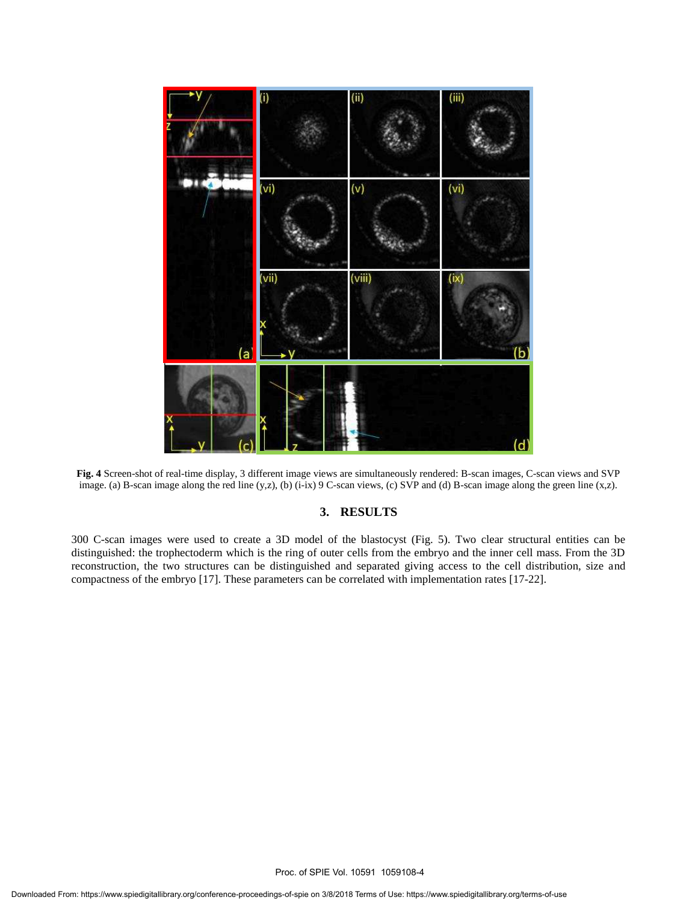

**Fig. 4** Screen-shot of real-time display, 3 different image views are simultaneously rendered: B-scan images, C-scan views and SVP image. (a) B-scan image along the red line (y,z), (b) (i-ix) 9 C-scan views, (c) SVP and (d) B-scan image along the green line (x,z).

### **3. RESULTS**

300 C-scan images were used to create a 3D model of the blastocyst (Fig. 5). Two clear structural entities can be distinguished: the trophectoderm which is the ring of outer cells from the embryo and the inner cell mass. From the 3D reconstruction, the two structures can be distinguished and separated giving access to the cell distribution, size and compactness of the embryo [17]. These parameters can be correlated with implementation rates [17-22].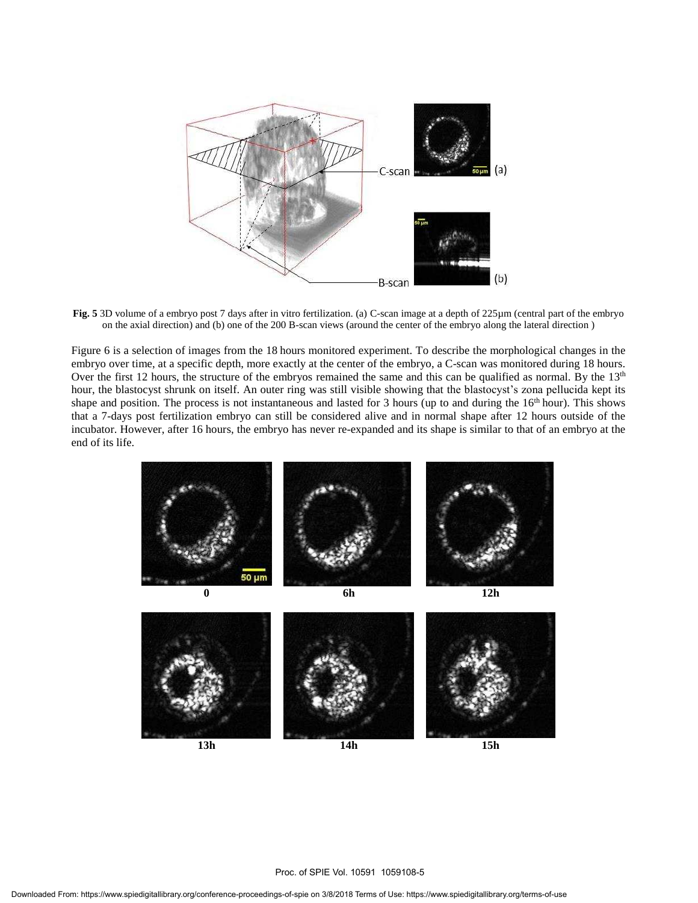

**Fig. 5** 3D volume of a embryo post 7 days after in vitro fertilization. (a) C-scan image at a depth of 225µm (central part of the embryo on the axial direction) and (b) one of the 200 B-scan views (around the center of the embryo along the lateral direction )

Figure 6 is a selection of images from the 18 hours monitored experiment. To describe the morphological changes in the embryo over time, at a specific depth, more exactly at the center of the embryo, a C-scan was monitored during 18 hours. Over the first 12 hours, the structure of the embryos remained the same and this can be qualified as normal. By the  $13<sup>th</sup>$ hour, the blastocyst shrunk on itself. An outer ring was still visible showing that the blastocyst's zona pellucida kept its shape and position. The process is not instantaneous and lasted for 3 hours (up to and during the  $16<sup>th</sup>$  hour). This shows that a 7-days post fertilization embryo can still be considered alive and in normal shape after 12 hours outside of the incubator. However, after 16 hours, the embryo has never re-expanded and its shape is similar to that of an embryo at the end of its life.

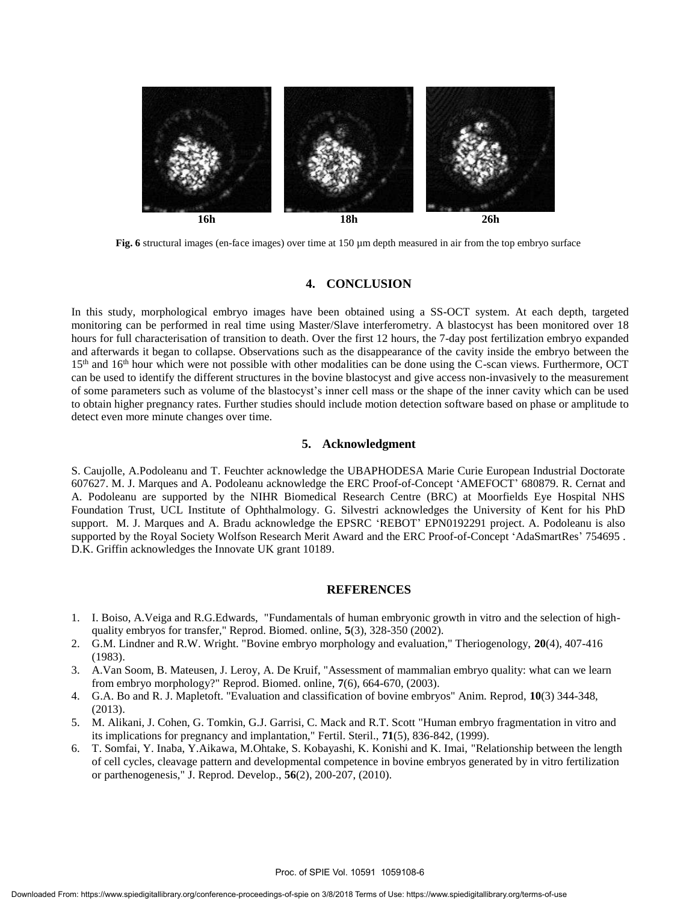

**Fig. 6** structural images (en-face images) over time at 150 µm depth measured in air from the top embryo surface

### **4. CONCLUSION**

In this study, morphological embryo images have been obtained using a SS-OCT system. At each depth, targeted monitoring can be performed in real time using Master/Slave interferometry. A blastocyst has been monitored over 18 hours for full characterisation of transition to death. Over the first 12 hours, the 7-day post fertilization embryo expanded and afterwards it began to collapse. Observations such as the disappearance of the cavity inside the embryo between the 15<sup>th</sup> and 16<sup>th</sup> hour which were not possible with other modalities can be done using the C-scan views. Furthermore, OCT can be used to identify the different structures in the bovine blastocyst and give access non-invasively to the measurement of some parameters such as volume of the blastocyst's inner cell mass or the shape of the inner cavity which can be used to obtain higher pregnancy rates. Further studies should include motion detection software based on phase or amplitude to detect even more minute changes over time.

### **5. Acknowledgment**

S. Caujolle, A.Podoleanu and T. Feuchter acknowledge the UBAPHODESA Marie Curie European Industrial Doctorate 607627. M. J. Marques and A. Podoleanu acknowledge the ERC Proof-of-Concept 'AMEFOCT' 680879. R. Cernat and A. Podoleanu are supported by the NIHR Biomedical Research Centre (BRC) at Moorfields Eye Hospital NHS Foundation Trust, UCL Institute of Ophthalmology. G. Silvestri acknowledges the University of Kent for his PhD support. M. J. Marques and A. Bradu acknowledge the EPSRC 'REBOT' EPN0192291 project. A. Podoleanu is also supported by the Royal Society Wolfson Research Merit Award and the ERC Proof-of-Concept 'AdaSmartRes' 754695 . D.K. Griffin acknowledges the Innovate UK grant 10189.

### **REFERENCES**

- 1. I. Boiso, A.Veiga and R.G.Edwards, "Fundamentals of human embryonic growth in vitro and the selection of highquality embryos for transfer," Reprod. Biomed. online, **5**(3), 328-350 (2002).
- 2. G.M. Lindner and R.W. Wright. "Bovine embryo morphology and evaluation," Theriogenology, **20**(4), 407-416 (1983).
- 3. A.Van Soom, B. Mateusen, J. Leroy, A. De Kruif, "Assessment of mammalian embryo quality: what can we learn from embryo morphology?" Reprod. Biomed. online, **7**(6), 664-670, (2003).
- 4. G.A. Bo and R. J. Mapletoft. "Evaluation and classification of bovine embryos" Anim. Reprod, **10**(3) 344-348, (2013).
- 5. M. Alikani, J. Cohen, G. Tomkin, G.J. Garrisi, C. Mack and R.T. Scott "Human embryo fragmentation in vitro and its implications for pregnancy and implantation," Fertil. Steril., **71**(5), 836-842, (1999).
- 6. T. Somfai, Y. Inaba, Y.Aikawa, M.Ohtake, S. Kobayashi, K. Konishi and K. Imai, "Relationship between the length of cell cycles, cleavage pattern and developmental competence in bovine embryos generated by in vitro fertilization or parthenogenesis," J. Reprod. Develop., **56**(2), 200-207, (2010).